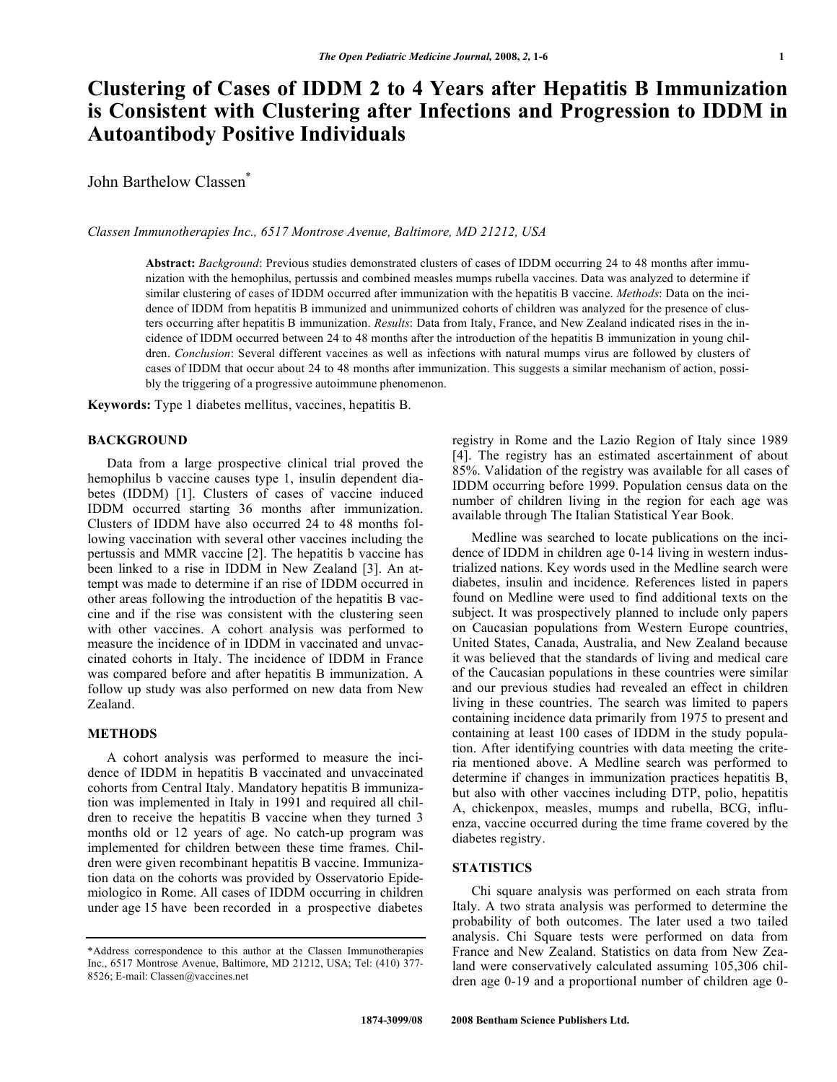# **Clustering of Cases of IDDM 2 to 4 Years after Hepatitis B Immunization is Consistent with Clustering after Infections and Progression to IDDM in Autoantibody Positive Individuals**

John Barthelow Classen<sup>\*</sup>

*Classen Immunotherapies Inc., 6517 Montrose Avenue, Baltimore, MD 21212, USA* 

**Abstract:** *Background*: Previous studies demonstrated clusters of cases of IDDM occurring 24 to 48 months after immunization with the hemophilus, pertussis and combined measles mumps rubella vaccines. Data was analyzed to determine if similar clustering of cases of IDDM occurred after immunization with the hepatitis B vaccine. *Methods*: Data on the incidence of IDDM from hepatitis B immunized and unimmunized cohorts of children was analyzed for the presence of clusters occurring after hepatitis B immunization. *Results*: Data from Italy, France, and New Zealand indicated rises in the incidence of IDDM occurred between 24 to 48 months after the introduction of the hepatitis B immunization in young children. *Conclusion*: Several different vaccines as well as infections with natural mumps virus are followed by clusters of cases of IDDM that occur about 24 to 48 months after immunization. This suggests a similar mechanism of action, possibly the triggering of a progressive autoimmune phenomenon.

**Keywords:** Type 1 diabetes mellitus, vaccines, hepatitis B.

# **BACKGROUND**

 Data from a large prospective clinical trial proved the hemophilus b vaccine causes type 1, insulin dependent diabetes (IDDM) [1]. Clusters of cases of vaccine induced IDDM occurred starting 36 months after immunization. Clusters of IDDM have also occurred 24 to 48 months following vaccination with several other vaccines including the pertussis and MMR vaccine [2]. The hepatitis b vaccine has been linked to a rise in IDDM in New Zealand [3]. An attempt was made to determine if an rise of IDDM occurred in other areas following the introduction of the hepatitis B vaccine and if the rise was consistent with the clustering seen with other vaccines. A cohort analysis was performed to measure the incidence of in IDDM in vaccinated and unvaccinated cohorts in Italy. The incidence of IDDM in France was compared before and after hepatitis B immunization. A follow up study was also performed on new data from New Zealand.

# **METHODS**

 A cohort analysis was performed to measure the incidence of IDDM in hepatitis B vaccinated and unvaccinated cohorts from Central Italy. Mandatory hepatitis B immunization was implemented in Italy in 1991 and required all children to receive the hepatitis B vaccine when they turned 3 months old or 12 years of age. No catch-up program was implemented for children between these time frames. Children were given recombinant hepatitis B vaccine. Immunization data on the cohorts was provided by Osservatorio Epidemiologico in Rome. All cases of IDDM occurring in children under age 15 have been recorded in a prospective diabetes registry in Rome and the Lazio Region of Italy since 1989 [4]. The registry has an estimated ascertainment of about 85%. Validation of the registry was available for all cases of IDDM occurring before 1999. Population census data on the number of children living in the region for each age was available through The Italian Statistical Year Book.

 Medline was searched to locate publications on the incidence of IDDM in children age 0-14 living in western industrialized nations. Key words used in the Medline search were diabetes, insulin and incidence. References listed in papers found on Medline were used to find additional texts on the subject. It was prospectively planned to include only papers on Caucasian populations from Western Europe countries, United States, Canada, Australia, and New Zealand because it was believed that the standards of living and medical care of the Caucasian populations in these countries were similar and our previous studies had revealed an effect in children living in these countries. The search was limited to papers containing incidence data primarily from 1975 to present and containing at least 100 cases of IDDM in the study population. After identifying countries with data meeting the criteria mentioned above. A Medline search was performed to determine if changes in immunization practices hepatitis B, but also with other vaccines including DTP, polio, hepatitis A, chickenpox, measles, mumps and rubella, BCG, influenza, vaccine occurred during the time frame covered by the diabetes registry.

# **STATISTICS**

 Chi square analysis was performed on each strata from Italy. A two strata analysis was performed to determine the probability of both outcomes. The later used a two tailed analysis. Chi Square tests were performed on data from France and New Zealand. Statistics on data from New Zealand were conservatively calculated assuming 105,306 children age 0-19 and a proportional number of children age 0-

<sup>\*</sup>Address correspondence to this author at the Classen Immunotherapies Inc., 6517 Montrose Avenue, Baltimore, MD 21212, USA; Tel: (410) 377- 8526; E-mail: Classen@vaccines.net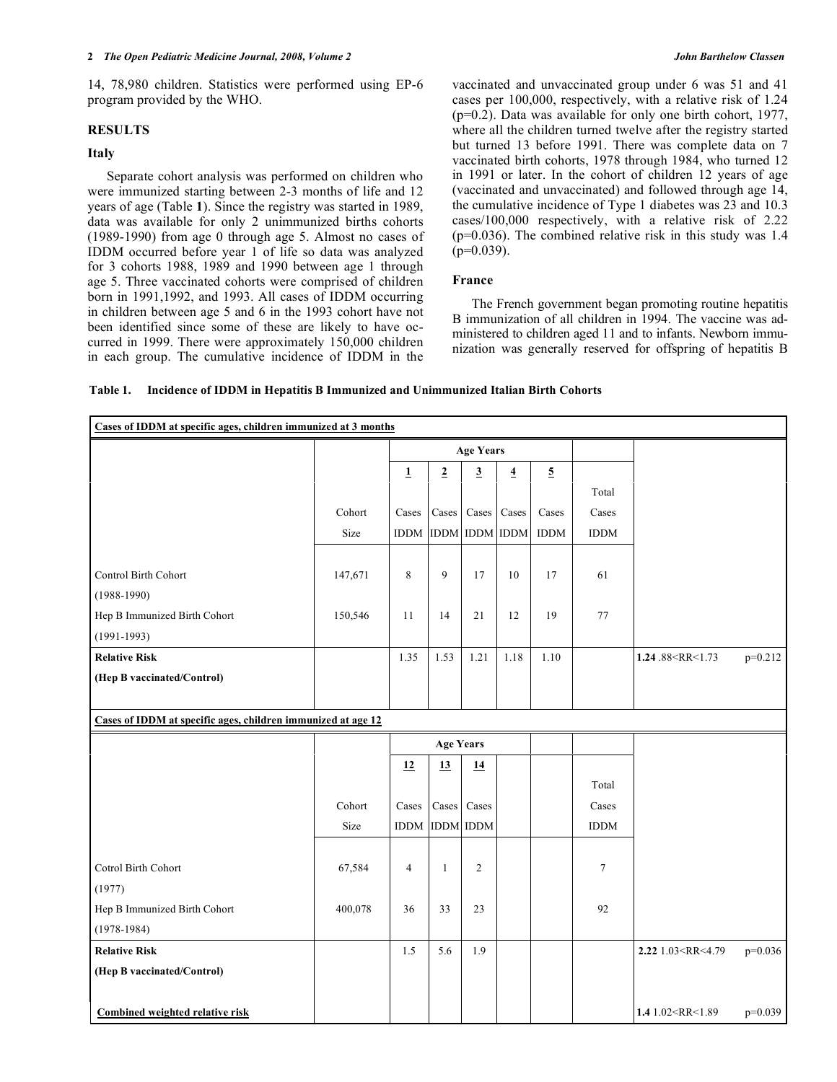14, 78,980 children. Statistics were performed using EP-6 program provided by the WHO.

# **RESULTS**

## **Italy**

 Separate cohort analysis was performed on children who were immunized starting between 2-3 months of life and 12 years of age (Table **1**). Since the registry was started in 1989, data was available for only 2 unimmunized births cohorts (1989-1990) from age 0 through age 5. Almost no cases of IDDM occurred before year 1 of life so data was analyzed for 3 cohorts 1988, 1989 and 1990 between age 1 through age 5. Three vaccinated cohorts were comprised of children born in 1991,1992, and 1993. All cases of IDDM occurring in children between age 5 and 6 in the 1993 cohort have not been identified since some of these are likely to have occurred in 1999. There were approximately 150,000 children in each group. The cumulative incidence of IDDM in the

vaccinated and unvaccinated group under 6 was 51 and 41 cases per 100,000, respectively, with a relative risk of 1.24 (p=0.2). Data was available for only one birth cohort, 1977, where all the children turned twelve after the registry started but turned 13 before 1991. There was complete data on 7 vaccinated birth cohorts, 1978 through 1984, who turned 12 in 1991 or later. In the cohort of children 12 years of age (vaccinated and unvaccinated) and followed through age 14, the cumulative incidence of Type 1 diabetes was 23 and 10.3 cases/100,000 respectively, with a relative risk of 2.22  $(p=0.036)$ . The combined relative risk in this study was 1.4  $(p=0.039)$ .

#### **France**

 The French government began promoting routine hepatitis B immunization of all children in 1994. The vaccine was administered to children aged 11 and to infants. Newborn immunization was generally reserved for offspring of hepatitis B

|  | Table 1. Incidence of IDDM in Hepatitis B Immunized and Unimmunized Italian Birth Cohorts |
|--|-------------------------------------------------------------------------------------------|
|--|-------------------------------------------------------------------------------------------|

| Cases of IDDM at specific ages, children immunized at 3 months |         |                              |                |                         |                         |                |             |                                                                    |           |
|----------------------------------------------------------------|---------|------------------------------|----------------|-------------------------|-------------------------|----------------|-------------|--------------------------------------------------------------------|-----------|
|                                                                |         | <b>Age Years</b>             |                |                         |                         |                |             |                                                                    |           |
|                                                                |         | $\mathbf{1}$                 | $\overline{2}$ | $\overline{\mathbf{3}}$ | $\overline{\mathbf{4}}$ | $\overline{5}$ |             |                                                                    |           |
|                                                                |         |                              |                |                         |                         |                | Total       |                                                                    |           |
|                                                                | Cohort  | Cases                        |                | Cases Cases             | Cases                   | Cases          | Cases       |                                                                    |           |
|                                                                | Size    |                              |                | IDDM IDDM IDDM IDDM     |                         | <b>IDDM</b>    | <b>IDDM</b> |                                                                    |           |
|                                                                |         |                              |                |                         |                         |                |             |                                                                    |           |
| Control Birth Cohort                                           | 147,671 | 8                            | 9              | 17                      | 10                      | 17             | 61          |                                                                    |           |
| $(1988 - 1990)$                                                |         |                              |                |                         |                         |                |             |                                                                    |           |
| Hep B Immunized Birth Cohort                                   | 150,546 | 11                           | 14             | 21                      | 12                      | 19             | $77\,$      |                                                                    |           |
| $(1991 - 1993)$                                                |         |                              |                |                         |                         |                |             |                                                                    |           |
| <b>Relative Risk</b>                                           |         | 1.35                         | 1.53           | 1.21                    | 1.18                    | 1.10           |             | 1.24 .88 <rr<1.73< td=""><td><math>p=0.212</math></td></rr<1.73<>  | $p=0.212$ |
| (Hep B vaccinated/Control)                                     |         |                              |                |                         |                         |                |             |                                                                    |           |
|                                                                |         |                              |                |                         |                         |                |             |                                                                    |           |
| Cases of IDDM at specific ages, children immunized at age 12   |         |                              |                |                         |                         |                |             |                                                                    |           |
|                                                                |         | <b>Age Years</b>             |                |                         |                         |                |             |                                                                    |           |
|                                                                |         | 12                           | 13             | 14                      |                         |                |             |                                                                    |           |
|                                                                |         |                              |                |                         |                         |                | Total       |                                                                    |           |
|                                                                | Cohort  | Cases                        |                | Cases Cases             |                         |                | Cases       |                                                                    |           |
|                                                                | Size    | $\mathop{\rm IDDM}\nolimits$ |                | <b>IDDM IDDM</b>        |                         |                | <b>IDDM</b> |                                                                    |           |
|                                                                |         |                              |                |                         |                         |                |             |                                                                    |           |
| Cotrol Birth Cohort                                            | 67,584  | $\overline{4}$               | $\mathbf{1}$   | $\overline{2}$          |                         |                | 7           |                                                                    |           |
| (1977)                                                         |         |                              |                |                         |                         |                |             |                                                                    |           |
| Hep B Immunized Birth Cohort                                   | 400,078 | 36                           | 33             | 23                      |                         |                | 92          |                                                                    |           |
| $(1978-1984)$                                                  |         |                              |                |                         |                         |                |             |                                                                    |           |
| <b>Relative Risk</b>                                           |         | 1.5                          | 5.6            | 1.9                     |                         |                |             | 2.22 1.03 <rr<4.79< td=""><td><math>p=0.036</math></td></rr<4.79<> | $p=0.036$ |
| (Hep B vaccinated/Control)                                     |         |                              |                |                         |                         |                |             |                                                                    |           |
|                                                                |         |                              |                |                         |                         |                |             |                                                                    |           |
| <b>Combined weighted relative risk</b>                         |         |                              |                |                         |                         |                |             | 1.4 1.02 <rr<1.89< td=""><td><math>p=0.039</math></td></rr<1.89<>  | $p=0.039$ |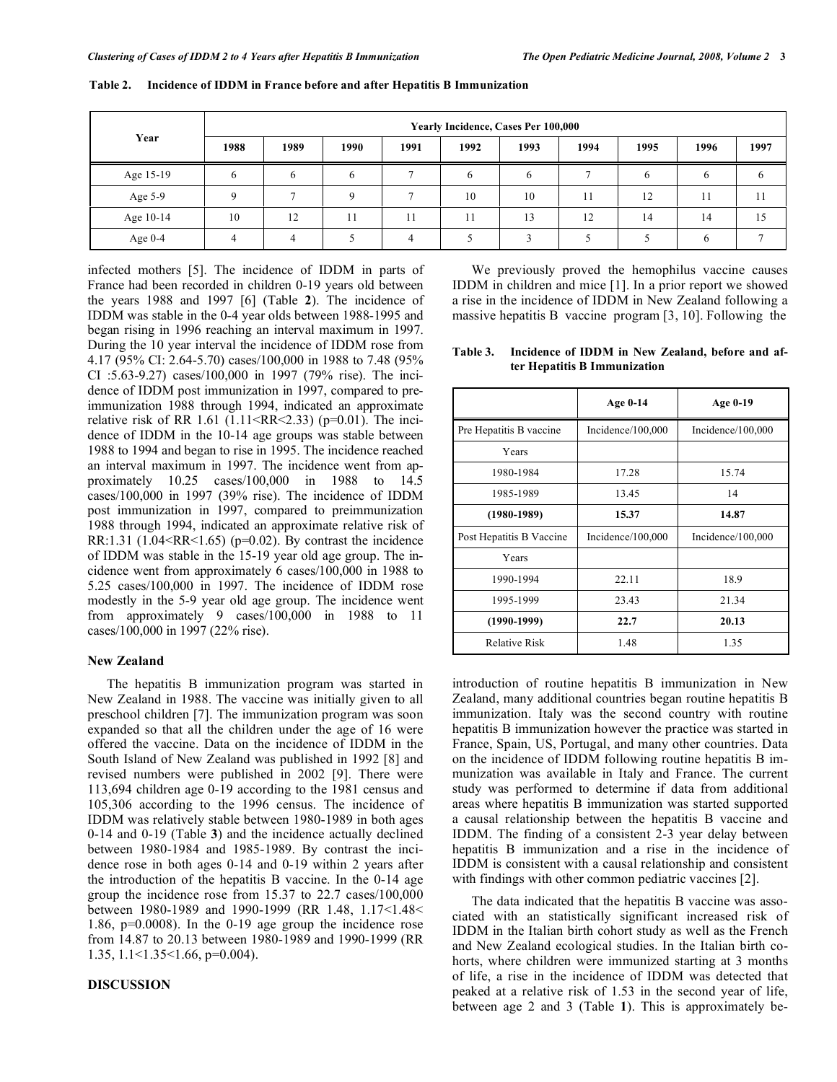|           | <b>Yearly Incidence, Cases Per 100,000</b> |      |      |      |      |      |      |      |      |      |  |
|-----------|--------------------------------------------|------|------|------|------|------|------|------|------|------|--|
| Year      | 1988                                       | 1989 | 1990 | 1991 | 1992 | 1993 | 1994 | 1995 | 1996 | 1997 |  |
| Age 15-19 |                                            |      | h    |      |      |      |      |      |      |      |  |
| Age 5-9   |                                            |      | Λ    | -    | 10   | 10   | 11   | 12   | 11   |      |  |
| Age 10-14 | 10                                         | 12   | 11   | 11   |      | 13   | 12   | 14   | 14   |      |  |
| Age $0-4$ |                                            |      |      |      |      |      |      |      |      |      |  |

**Table 2. Incidence of IDDM in France before and after Hepatitis B Immunization** 

infected mothers [5]. The incidence of IDDM in parts of France had been recorded in children 0-19 years old between the years 1988 and 1997 [6] (Table **2**). The incidence of IDDM was stable in the 0-4 year olds between 1988-1995 and began rising in 1996 reaching an interval maximum in 1997. During the 10 year interval the incidence of IDDM rose from 4.17 (95% CI: 2.64-5.70) cases/100,000 in 1988 to 7.48 (95% CI :5.63-9.27) cases/100,000 in 1997 (79% rise). The incidence of IDDM post immunization in 1997, compared to preimmunization 1988 through 1994, indicated an approximate relative risk of RR 1.61 (1.11<RR<2.33) (p=0.01). The incidence of IDDM in the 10-14 age groups was stable between 1988 to 1994 and began to rise in 1995. The incidence reached an interval maximum in 1997. The incidence went from approximately 10.25 cases/100,000 in 1988 to 14.5 cases/100,000 in 1997 (39% rise). The incidence of IDDM post immunization in 1997, compared to preimmunization 1988 through 1994, indicated an approximate relative risk of RR:1.31 (1.04<RR<1.65) ( $p=0.02$ ). By contrast the incidence of IDDM was stable in the 15-19 year old age group. The incidence went from approximately 6 cases/100,000 in 1988 to 5.25 cases/100,000 in 1997. The incidence of IDDM rose modestly in the 5-9 year old age group. The incidence went from approximately 9 cases/100,000 in 1988 to 11 cases/100,000 in 1997 (22% rise).

# **New Zealand**

 The hepatitis B immunization program was started in New Zealand in 1988. The vaccine was initially given to all preschool children [7]. The immunization program was soon expanded so that all the children under the age of 16 were offered the vaccine. Data on the incidence of IDDM in the South Island of New Zealand was published in 1992 [8] and revised numbers were published in 2002 [9]. There were 113,694 children age 0-19 according to the 1981 census and 105,306 according to the 1996 census. The incidence of IDDM was relatively stable between 1980-1989 in both ages 0-14 and 0-19 (Table **3**) and the incidence actually declined between 1980-1984 and 1985-1989. By contrast the incidence rose in both ages 0-14 and 0-19 within 2 years after the introduction of the hepatitis B vaccine. In the 0-14 age group the incidence rose from 15.37 to 22.7 cases/100,000 between 1980-1989 and 1990-1999 (RR 1.48, 1.17<1.48< 1.86, p=0.0008). In the 0-19 age group the incidence rose from 14.87 to 20.13 between 1980-1989 and 1990-1999 (RR 1.35, 1.1<1.35<1.66, p=0.004).

# **DISCUSSION**

We previously proved the hemophilus vaccine causes IDDM in children and mice [1]. In a prior report we showed a rise in the incidence of IDDM in New Zealand following a massive hepatitis B vaccine program [3, 10]. Following the

**Table 3. Incidence of IDDM in New Zealand, before and after Hepatitis B Immunization** 

|                          | Age 0-14          | Age 0-19          |
|--------------------------|-------------------|-------------------|
| Pre Hepatitis B vaccine  | Incidence/100,000 | Incidence/100,000 |
| Years                    |                   |                   |
| 1980-1984                | 17.28             | 15.74             |
| 1985-1989                | 13.45             | 14                |
| $(1980 - 1989)$          | 15.37             | 14.87             |
| Post Hepatitis B Vaccine | Incidence/100,000 | Incidence/100,000 |
| Years                    |                   |                   |
| 1990-1994                | 22.11             | 18.9              |
| 1995-1999                | 23.43             | 21.34             |
| $(1990-1999)$            | 22.7              | 20.13             |
| <b>Relative Risk</b>     | 1.48              | 1.35              |

introduction of routine hepatitis B immunization in New Zealand, many additional countries began routine hepatitis B immunization. Italy was the second country with routine hepatitis B immunization however the practice was started in France, Spain, US, Portugal, and many other countries. Data on the incidence of IDDM following routine hepatitis B immunization was available in Italy and France. The current study was performed to determine if data from additional areas where hepatitis B immunization was started supported a causal relationship between the hepatitis B vaccine and IDDM. The finding of a consistent 2-3 year delay between hepatitis B immunization and a rise in the incidence of IDDM is consistent with a causal relationship and consistent with findings with other common pediatric vaccines [2].

 The data indicated that the hepatitis B vaccine was associated with an statistically significant increased risk of IDDM in the Italian birth cohort study as well as the French and New Zealand ecological studies. In the Italian birth cohorts, where children were immunized starting at 3 months of life, a rise in the incidence of IDDM was detected that peaked at a relative risk of 1.53 in the second year of life, between age 2 and 3 (Table **1**). This is approximately be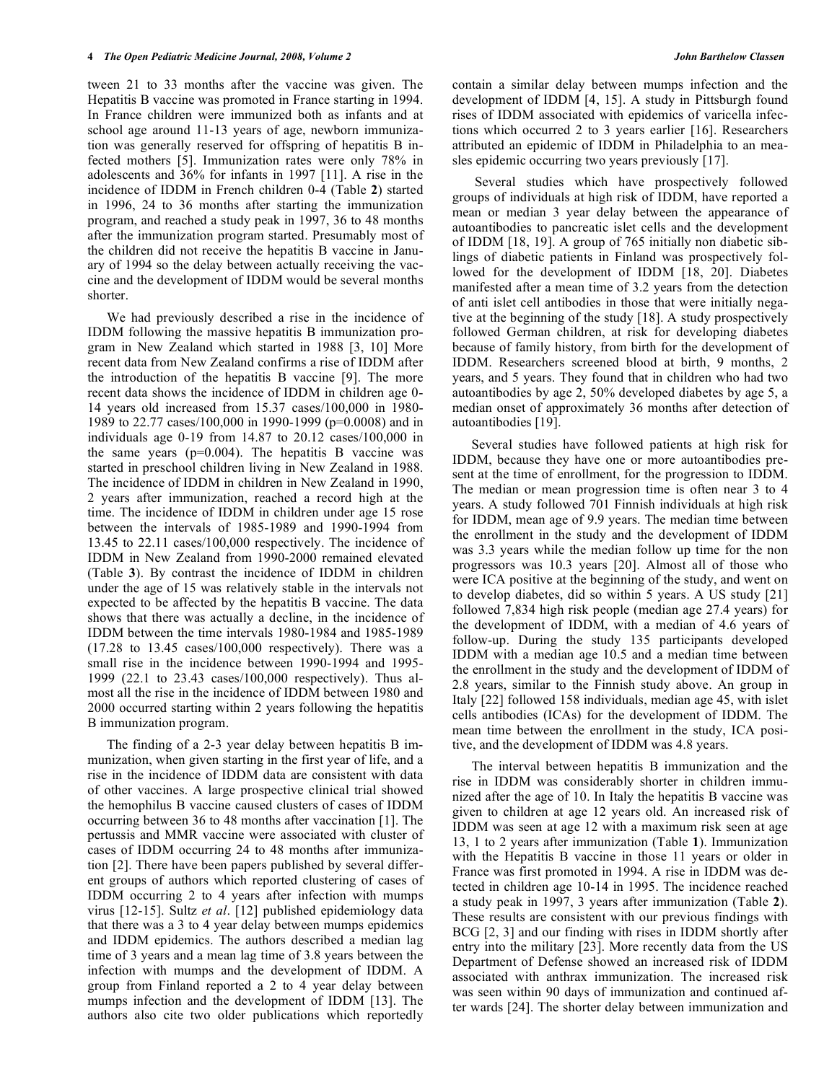tween 21 to 33 months after the vaccine was given. The Hepatitis B vaccine was promoted in France starting in 1994. In France children were immunized both as infants and at school age around 11-13 years of age, newborn immunization was generally reserved for offspring of hepatitis B infected mothers [5]. Immunization rates were only 78% in adolescents and 36% for infants in 1997 [11]. A rise in the incidence of IDDM in French children 0-4 (Table **2**) started in 1996, 24 to 36 months after starting the immunization program, and reached a study peak in 1997, 36 to 48 months after the immunization program started. Presumably most of the children did not receive the hepatitis B vaccine in January of 1994 so the delay between actually receiving the vaccine and the development of IDDM would be several months shorter.

 We had previously described a rise in the incidence of IDDM following the massive hepatitis B immunization program in New Zealand which started in 1988 [3, 10] More recent data from New Zealand confirms a rise of IDDM after the introduction of the hepatitis B vaccine [9]. The more recent data shows the incidence of IDDM in children age 0- 14 years old increased from 15.37 cases/100,000 in 1980- 1989 to 22.77 cases/100,000 in 1990-1999 (p=0.0008) and in individuals age 0-19 from 14.87 to 20.12 cases/100,000 in the same years ( $p=0.004$ ). The hepatitis B vaccine was started in preschool children living in New Zealand in 1988. The incidence of IDDM in children in New Zealand in 1990, 2 years after immunization, reached a record high at the time. The incidence of IDDM in children under age 15 rose between the intervals of 1985-1989 and 1990-1994 from 13.45 to 22.11 cases/100,000 respectively. The incidence of IDDM in New Zealand from 1990-2000 remained elevated (Table **3**). By contrast the incidence of IDDM in children under the age of 15 was relatively stable in the intervals not expected to be affected by the hepatitis B vaccine. The data shows that there was actually a decline, in the incidence of IDDM between the time intervals 1980-1984 and 1985-1989  $(17.28 \text{ to } 13.45 \text{ cases}/100,000 \text{ respectively})$ . There was a small rise in the incidence between 1990-1994 and 1995- 1999 (22.1 to 23.43 cases/100,000 respectively). Thus almost all the rise in the incidence of IDDM between 1980 and 2000 occurred starting within 2 years following the hepatitis B immunization program.

 The finding of a 2-3 year delay between hepatitis B immunization, when given starting in the first year of life, and a rise in the incidence of IDDM data are consistent with data of other vaccines. A large prospective clinical trial showed the hemophilus B vaccine caused clusters of cases of IDDM occurring between 36 to 48 months after vaccination [1]. The pertussis and MMR vaccine were associated with cluster of cases of IDDM occurring 24 to 48 months after immunization [2]. There have been papers published by several different groups of authors which reported clustering of cases of IDDM occurring 2 to 4 years after infection with mumps virus [12-15]. Sultz *et al*. [12] published epidemiology data that there was a 3 to 4 year delay between mumps epidemics and IDDM epidemics. The authors described a median lag time of 3 years and a mean lag time of 3.8 years between the infection with mumps and the development of IDDM. A group from Finland reported a 2 to 4 year delay between mumps infection and the development of IDDM [13]. The authors also cite two older publications which reportedly

contain a similar delay between mumps infection and the development of IDDM [4, 15]. A study in Pittsburgh found rises of IDDM associated with epidemics of varicella infections which occurred 2 to 3 years earlier [16]. Researchers attributed an epidemic of IDDM in Philadelphia to an measles epidemic occurring two years previously [17].

 Several studies which have prospectively followed groups of individuals at high risk of IDDM, have reported a mean or median 3 year delay between the appearance of autoantibodies to pancreatic islet cells and the development of IDDM [18, 19]. A group of 765 initially non diabetic siblings of diabetic patients in Finland was prospectively followed for the development of IDDM [18, 20]. Diabetes manifested after a mean time of 3.2 years from the detection of anti islet cell antibodies in those that were initially negative at the beginning of the study [18]. A study prospectively followed German children, at risk for developing diabetes because of family history, from birth for the development of IDDM. Researchers screened blood at birth, 9 months, 2 years, and 5 years. They found that in children who had two autoantibodies by age 2, 50% developed diabetes by age 5, a median onset of approximately 36 months after detection of autoantibodies [19].

 Several studies have followed patients at high risk for IDDM, because they have one or more autoantibodies present at the time of enrollment, for the progression to IDDM. The median or mean progression time is often near 3 to 4 years. A study followed 701 Finnish individuals at high risk for IDDM, mean age of 9.9 years. The median time between the enrollment in the study and the development of IDDM was 3.3 years while the median follow up time for the non progressors was 10.3 years [20]. Almost all of those who were ICA positive at the beginning of the study, and went on to develop diabetes, did so within 5 years. A US study [21] followed 7,834 high risk people (median age 27.4 years) for the development of IDDM, with a median of 4.6 years of follow-up. During the study 135 participants developed IDDM with a median age 10.5 and a median time between the enrollment in the study and the development of IDDM of 2.8 years, similar to the Finnish study above. An group in Italy [22] followed 158 individuals, median age 45, with islet cells antibodies (ICAs) for the development of IDDM. The mean time between the enrollment in the study, ICA positive, and the development of IDDM was 4.8 years.

 The interval between hepatitis B immunization and the rise in IDDM was considerably shorter in children immunized after the age of 10. In Italy the hepatitis B vaccine was given to children at age 12 years old. An increased risk of IDDM was seen at age 12 with a maximum risk seen at age 13, 1 to 2 years after immunization (Table **1**). Immunization with the Hepatitis B vaccine in those 11 years or older in France was first promoted in 1994. A rise in IDDM was detected in children age 10-14 in 1995. The incidence reached a study peak in 1997, 3 years after immunization (Table **2**). These results are consistent with our previous findings with BCG [2, 3] and our finding with rises in IDDM shortly after entry into the military [23]. More recently data from the US Department of Defense showed an increased risk of IDDM associated with anthrax immunization. The increased risk was seen within 90 days of immunization and continued after wards [24]. The shorter delay between immunization and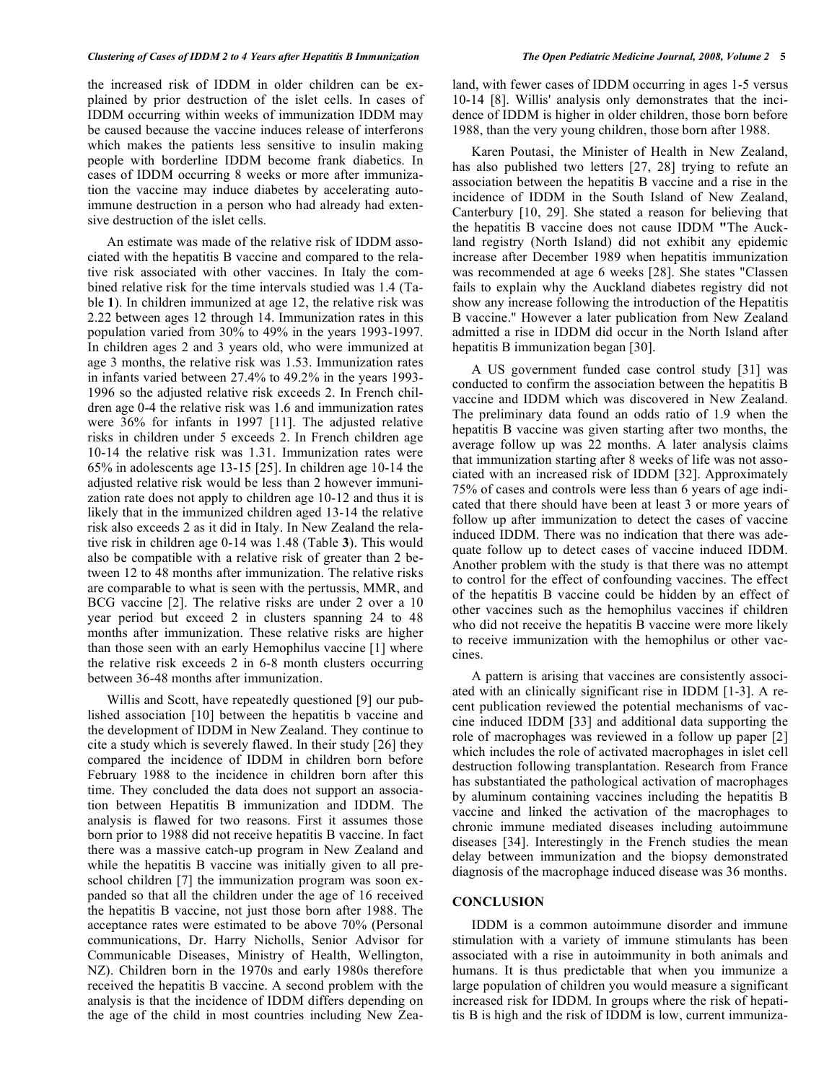the increased risk of IDDM in older children can be explained by prior destruction of the islet cells. In cases of IDDM occurring within weeks of immunization IDDM may be caused because the vaccine induces release of interferons which makes the patients less sensitive to insulin making people with borderline IDDM become frank diabetics. In cases of IDDM occurring 8 weeks or more after immunization the vaccine may induce diabetes by accelerating autoimmune destruction in a person who had already had extensive destruction of the islet cells.

 An estimate was made of the relative risk of IDDM associated with the hepatitis B vaccine and compared to the relative risk associated with other vaccines. In Italy the combined relative risk for the time intervals studied was 1.4 (Table **1**). In children immunized at age 12, the relative risk was 2.22 between ages 12 through 14. Immunization rates in this population varied from 30% to 49% in the years 1993-1997. In children ages 2 and 3 years old, who were immunized at age 3 months, the relative risk was 1.53. Immunization rates in infants varied between 27.4% to 49.2% in the years 1993- 1996 so the adjusted relative risk exceeds 2. In French children age 0-4 the relative risk was 1.6 and immunization rates were 36% for infants in 1997 [11]. The adjusted relative risks in children under 5 exceeds 2. In French children age 10-14 the relative risk was 1.31. Immunization rates were 65% in adolescents age 13-15 [25]. In children age 10-14 the adjusted relative risk would be less than 2 however immunization rate does not apply to children age 10-12 and thus it is likely that in the immunized children aged 13-14 the relative risk also exceeds 2 as it did in Italy. In New Zealand the relative risk in children age 0-14 was 1.48 (Table **3**). This would also be compatible with a relative risk of greater than 2 between 12 to 48 months after immunization. The relative risks are comparable to what is seen with the pertussis, MMR, and BCG vaccine [2]. The relative risks are under 2 over a 10 year period but exceed 2 in clusters spanning 24 to 48 months after immunization. These relative risks are higher than those seen with an early Hemophilus vaccine [1] where the relative risk exceeds 2 in 6-8 month clusters occurring between 36-48 months after immunization.

 Willis and Scott, have repeatedly questioned [9] our published association [10] between the hepatitis b vaccine and the development of IDDM in New Zealand. They continue to cite a study which is severely flawed. In their study [26] they compared the incidence of IDDM in children born before February 1988 to the incidence in children born after this time. They concluded the data does not support an association between Hepatitis B immunization and IDDM. The analysis is flawed for two reasons. First it assumes those born prior to 1988 did not receive hepatitis B vaccine. In fact there was a massive catch-up program in New Zealand and while the hepatitis B vaccine was initially given to all preschool children [7] the immunization program was soon expanded so that all the children under the age of 16 received the hepatitis B vaccine, not just those born after 1988. The acceptance rates were estimated to be above 70% (Personal communications, Dr. Harry Nicholls, Senior Advisor for Communicable Diseases, Ministry of Health, Wellington, NZ). Children born in the 1970s and early 1980s therefore received the hepatitis B vaccine. A second problem with the analysis is that the incidence of IDDM differs depending on the age of the child in most countries including New Zealand, with fewer cases of IDDM occurring in ages 1-5 versus 10-14 [8]. Willis' analysis only demonstrates that the incidence of IDDM is higher in older children, those born before 1988, than the very young children, those born after 1988.

 Karen Poutasi, the Minister of Health in New Zealand, has also published two letters [27, 28] trying to refute an association between the hepatitis B vaccine and a rise in the incidence of IDDM in the South Island of New Zealand, Canterbury [10, 29]. She stated a reason for believing that the hepatitis B vaccine does not cause IDDM **"**The Auckland registry (North Island) did not exhibit any epidemic increase after December 1989 when hepatitis immunization was recommended at age 6 weeks [28]. She states "Classen fails to explain why the Auckland diabetes registry did not show any increase following the introduction of the Hepatitis B vaccine." However a later publication from New Zealand admitted a rise in IDDM did occur in the North Island after hepatitis B immunization began [30].

 A US government funded case control study [31] was conducted to confirm the association between the hepatitis B vaccine and IDDM which was discovered in New Zealand. The preliminary data found an odds ratio of 1.9 when the hepatitis B vaccine was given starting after two months, the average follow up was 22 months. A later analysis claims that immunization starting after 8 weeks of life was not associated with an increased risk of IDDM [32]. Approximately 75% of cases and controls were less than 6 years of age indicated that there should have been at least 3 or more years of follow up after immunization to detect the cases of vaccine induced IDDM. There was no indication that there was adequate follow up to detect cases of vaccine induced IDDM. Another problem with the study is that there was no attempt to control for the effect of confounding vaccines. The effect of the hepatitis B vaccine could be hidden by an effect of other vaccines such as the hemophilus vaccines if children who did not receive the hepatitis B vaccine were more likely to receive immunization with the hemophilus or other vaccines.

 A pattern is arising that vaccines are consistently associated with an clinically significant rise in IDDM [1-3]. A recent publication reviewed the potential mechanisms of vaccine induced IDDM [33] and additional data supporting the role of macrophages was reviewed in a follow up paper [2] which includes the role of activated macrophages in islet cell destruction following transplantation. Research from France has substantiated the pathological activation of macrophages by aluminum containing vaccines including the hepatitis B vaccine and linked the activation of the macrophages to chronic immune mediated diseases including autoimmune diseases [34]. Interestingly in the French studies the mean delay between immunization and the biopsy demonstrated diagnosis of the macrophage induced disease was 36 months.

# **CONCLUSION**

 IDDM is a common autoimmune disorder and immune stimulation with a variety of immune stimulants has been associated with a rise in autoimmunity in both animals and humans. It is thus predictable that when you immunize a large population of children you would measure a significant increased risk for IDDM. In groups where the risk of hepatitis B is high and the risk of IDDM is low, current immuniza